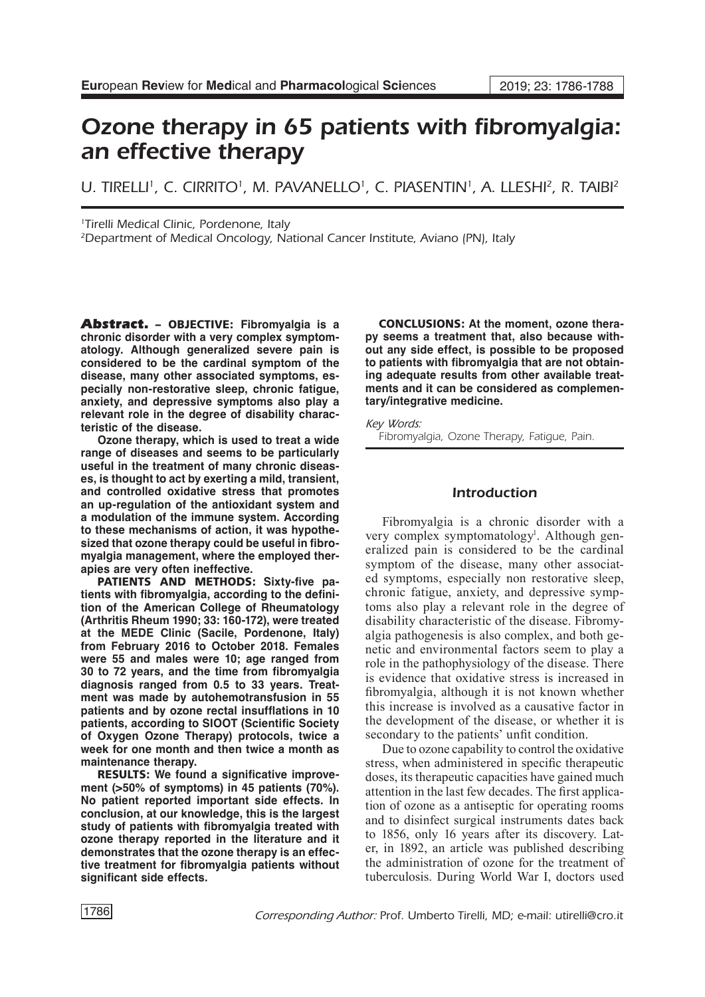# Ozone therapy in 65 patients with fibromyalgia: an effective therapy

U. TIRELLI<sup>1</sup>, C. CIRRITO<sup>1</sup>, M. PAVANELLO<sup>1</sup>, C. PIASENTIN<sup>1</sup>, A. LLESHI<sup>2</sup>, R. TAIBI<sup>2</sup>

1 Tirelli Medical Clinic, Pordenone, Italy

2Department of Medical Oncology, National Cancer Institute, Aviano (PN), Italy

Abstract. – OBJECTIVE: **Fibromyalgia is a chronic disorder with a very complex symptomatology. Although generalized severe pain is considered to be the cardinal symptom of the disease, many other associated symptoms, especially non-restorative sleep, chronic fatigue, anxiety, and depressive symptoms also play a relevant role in the degree of disability characteristic of the disease.** 

**Ozone therapy, which is used to treat a wide range of diseases and seems to be particularly useful in the treatment of many chronic diseases, is thought to act by exerting a mild, transient, and controlled oxidative stress that promotes an up-regulation of the antioxidant system and a modulation of the immune system. According to these mechanisms of action, it was hypothesized that ozone therapy could be useful in fibromyalgia management, where the employed therapies are very often ineffective.**

PATIENTS AND METHODS: **Sixty-five patients with fibromyalgia, according to the definition of the American College of Rheumatology (Arthritis Rheum 1990; 33: 160-172), were treated at the MEDE Clinic (Sacile, Pordenone, Italy) from February 2016 to October 2018. Females were 55 and males were 10; age ranged from 30 to 72 years, and the time from fibromyalgia diagnosis ranged from 0.5 to 33 years. Treatment was made by autohemotransfusion in 55 patients and by ozone rectal insufflations in 10 patients, according to SIOOT (Scientific Society of Oxygen Ozone Therapy) protocols, twice a week for one month and then twice a month as maintenance therapy.** 

RESULTS: **We found a significative improvement (>50% of symptoms) in 45 patients (70%). No patient reported important side effects. In conclusion, at our knowledge, this is the largest study of patients with fibromyalgia treated with ozone therapy reported in the literature and it demonstrates that the ozone therapy is an effective treatment for fibromyalgia patients without significant side effects.**

CONCLUSIONS: **At the moment, ozone therapy seems a treatment that, also because without any side effect, is possible to be proposed to patients with fibromyalgia that are not obtaining adequate results from other available treatments and it can be considered as complementary/integrative medicine.**

*Key Words:* Fibromyalgia, Ozone Therapy, Fatigue, Pain.

## Introduction

Fibromyalgia is a chronic disorder with a very complex symptomatology<sup>1</sup>. Although generalized pain is considered to be the cardinal symptom of the disease, many other associated symptoms, especially non restorative sleep, chronic fatigue, anxiety, and depressive symptoms also play a relevant role in the degree of disability characteristic of the disease. Fibromyalgia pathogenesis is also complex, and both genetic and environmental factors seem to play a role in the pathophysiology of the disease. There is evidence that oxidative stress is increased in fibromyalgia, although it is not known whether this increase is involved as a causative factor in the development of the disease, or whether it is secondary to the patients' unfit condition.

Due to ozone capability to control the oxidative stress, when administered in specific therapeutic doses, its therapeutic capacities have gained much attention in the last few decades. The first application of ozone as a antiseptic for operating rooms and to disinfect surgical instruments dates back to 1856, only 16 years after its discovery. Later, in 1892, an article was published describing the administration of ozone for the treatment of tuberculosis. During World War I, doctors used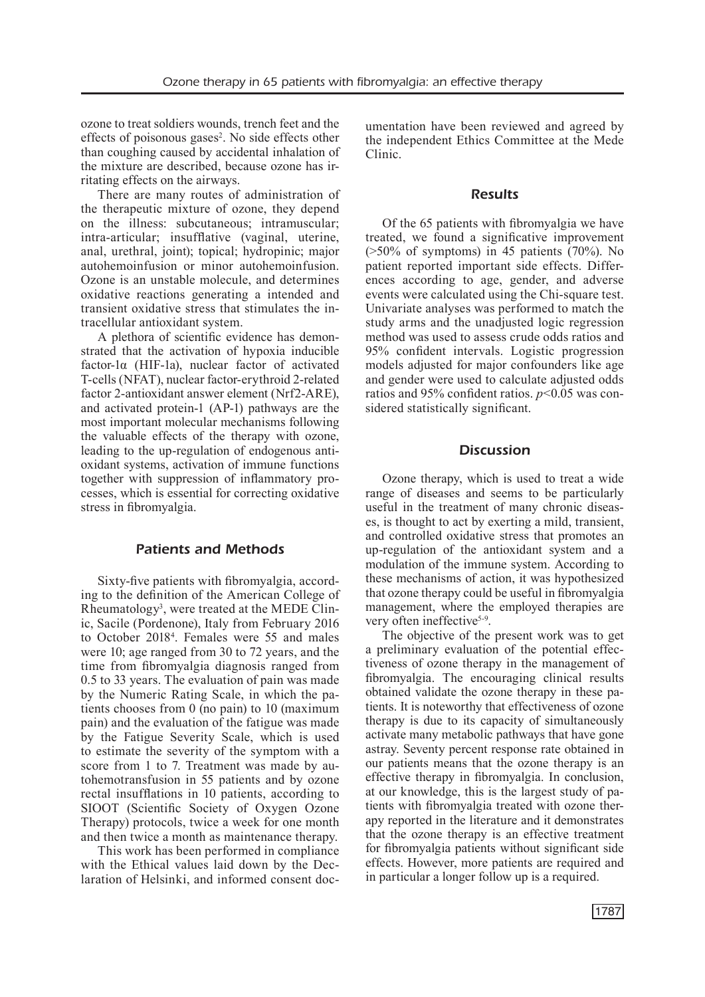ozone to treat soldiers wounds, trench feet and the effects of poisonous gases<sup>2</sup>. No side effects other than coughing caused by accidental inhalation of the mixture are described, because ozone has irritating effects on the airways.

There are many routes of administration of the therapeutic mixture of ozone, they depend on the illness: subcutaneous; intramuscular; intra-articular; insufflative (vaginal, uterine, anal, urethral, joint); topical; hydropinic; major autohemoinfusion or minor autohemoinfusion. Ozone is an unstable molecule, and determines oxidative reactions generating a intended and transient oxidative stress that stimulates the intracellular antioxidant system.

A plethora of scientific evidence has demonstrated that the activation of hypoxia inducible factor-1α (HIF-1a), nuclear factor of activated T-cells (NFAT), nuclear factor-erythroid 2-related factor 2-antioxidant answer element (Nrf2-ARE), and activated protein-1 (AP-1) pathways are the most important molecular mechanisms following the valuable effects of the therapy with ozone, leading to the up-regulation of endogenous antioxidant systems, activation of immune functions together with suppression of inflammatory processes, which is essential for correcting oxidative stress in fibromyalgia.

## Patients and Methods

Sixty-five patients with fibromyalgia, according to the definition of the American College of Rheumatology<sup>3</sup>, were treated at the MEDE Clinic, Sacile (Pordenone), Italy from February 2016 to October 2018<sup>4</sup> . Females were 55 and males were 10; age ranged from 30 to 72 years, and the time from fibromyalgia diagnosis ranged from 0.5 to 33 years. The evaluation of pain was made by the Numeric Rating Scale, in which the patients chooses from 0 (no pain) to 10 (maximum pain) and the evaluation of the fatigue was made by the Fatigue Severity Scale, which is used to estimate the severity of the symptom with a score from 1 to 7. Treatment was made by autohemotransfusion in 55 patients and by ozone rectal insufflations in 10 patients, according to SIOOT (Scientific Society of Oxygen Ozone Therapy) protocols, twice a week for one month and then twice a month as maintenance therapy.

This work has been performed in compliance with the Ethical values laid down by the Declaration of Helsinki, and informed consent documentation have been reviewed and agreed by the independent Ethics Committee at the Mede Clinic.

#### Results

Of the 65 patients with fibromyalgia we have treated, we found a significative improvement  $($ >50% of symptoms) in 45 patients  $(70\%)$ . No patient reported important side effects. Differences according to age, gender, and adverse events were calculated using the Chi-square test. Univariate analyses was performed to match the study arms and the unadjusted logic regression method was used to assess crude odds ratios and 95% confident intervals. Logistic progression models adjusted for major confounders like age and gender were used to calculate adjusted odds ratios and 95% confident ratios. *p*<0.05 was considered statistically significant.

## **Discussion**

[Ozone therapy,](https://www.austinozone.com) which is used to treat a wide range of diseases and seems to be particularly useful in the treatment of many chronic diseases, is thought to act by exerting a mild, transient, and controlled oxidative stress that promotes an up-regulation of the antioxidant system and a modulation of the immune system. According to these mechanisms of action, it was hypothesized that ozone therapy could be useful in fibromyalgia management, where the employed therapies are very often ineffective<sup>5-9</sup>.

The objective of the present work was to get a preliminary evaluation of the potential effectiveness of ozone therapy in the management of fibromyalgia. The encouraging clinical results obtained validate the ozone therapy in these patients. It is noteworthy that effectiveness of ozone therapy is due to its capacity of simultaneously activate many metabolic pathways that have gone astray. Seventy percent response rate obtained in our patients means that the ozone therapy is an effective therapy in fibromyalgia. In conclusion, at our knowledge, this is the largest study of patients with fibromyalgia treated with ozone therapy reported in the literature and it demonstrates that the ozone therapy is an effective treatment for fibromyalgia patients without significant side effects. However, more patients are required and in particular a longer follow up is a required.